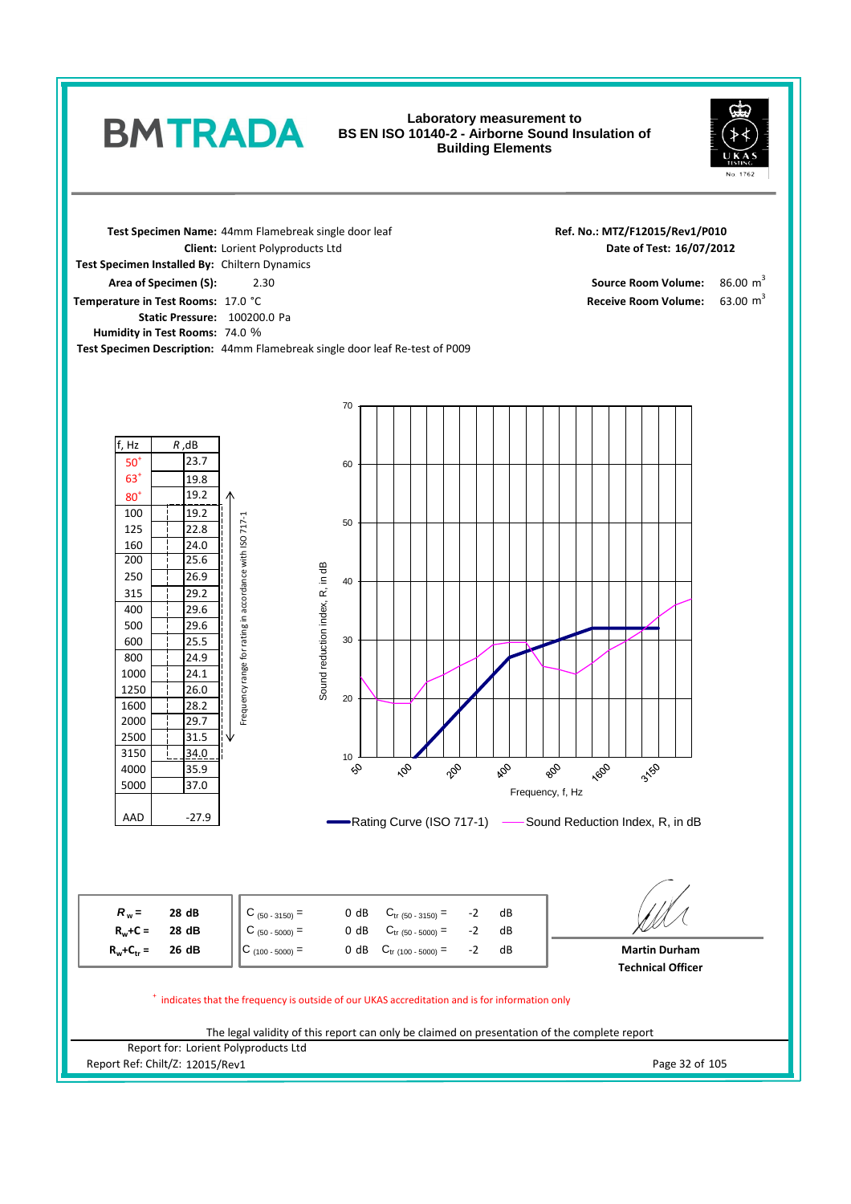## **Laboratory measurement to BS EN ISO 10140-2 - Airborne Sound Insulation of Building Elements**



 $86.00 \text{ m}^3$ 

63.00  $m^3$ 

**Date of Test:**

Receive Room Volume:

**Ref. No.: MTZ/F12015/Rev1/P010**

**Test Specimen Name:** 44mm Flamebreak single door leaf **Static Pressure:** 100200.0 Pa 74.0 % **Humidity in Test Rooms: Area of Specimen (S):** 2.30 2.30 2.30 **Temperature in Test Rooms: 17.0 °C** 2.30 **Test Specimen Installed By:** Chiltern Dynamics **Client:** Lorient Polyproducts Ltd

**BMTRADA** 

**Test Specimen Description:** 44mm Flamebreak single door leaf Re-test of P009